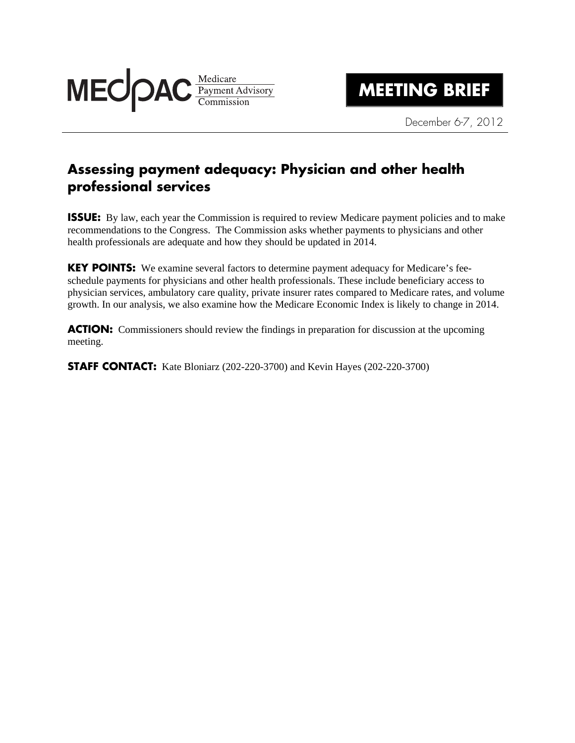

December 6-7, 2012

## **Assessing payment adequacy: Physician and other health professional services**

**ISSUE:** By law, each year the Commission is required to review Medicare payment policies and to make recommendations to the Congress. The Commission asks whether payments to physicians and other health professionals are adequate and how they should be updated in 2014.

**KEY POINTS:** We examine several factors to determine payment adequacy for Medicare's feeschedule payments for physicians and other health professionals. These include beneficiary access to physician services, ambulatory care quality, private insurer rates compared to Medicare rates, and volume growth. In our analysis, we also examine how the Medicare Economic Index is likely to change in 2014.

**ACTION:** Commissioners should review the findings in preparation for discussion at the upcoming meeting.

**STAFF CONTACT:** Kate Bloniarz (202-220-3700) and Kevin Hayes (202-220-3700)